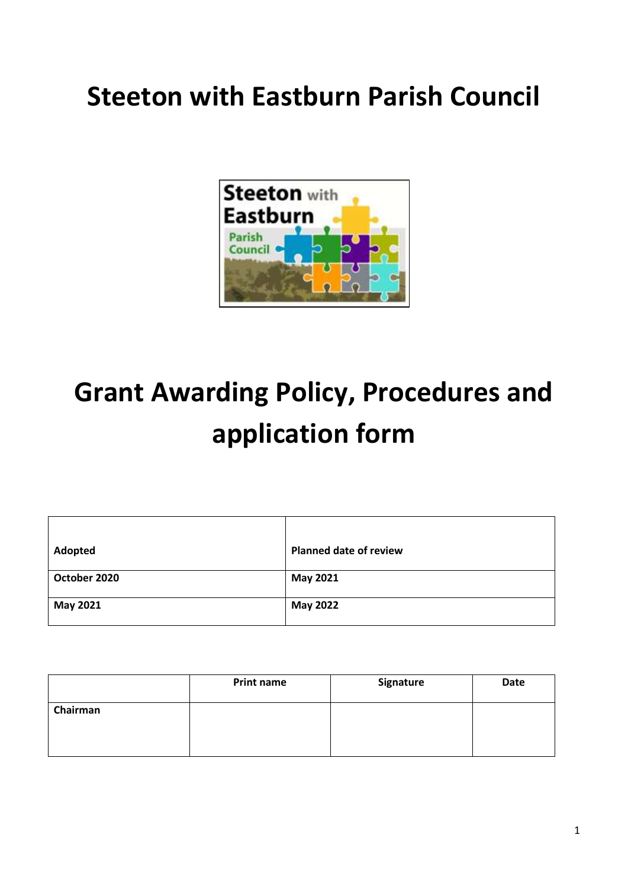## **Steeton with Eastburn Parish Council**



# **Grant Awarding Policy, Procedures and application form**

| Adopted      | <b>Planned date of review</b> |
|--------------|-------------------------------|
| October 2020 | May 2021                      |
| May 2021     | <b>May 2022</b>               |

|          | <b>Print name</b> | Signature | Date |
|----------|-------------------|-----------|------|
| Chairman |                   |           |      |
|          |                   |           |      |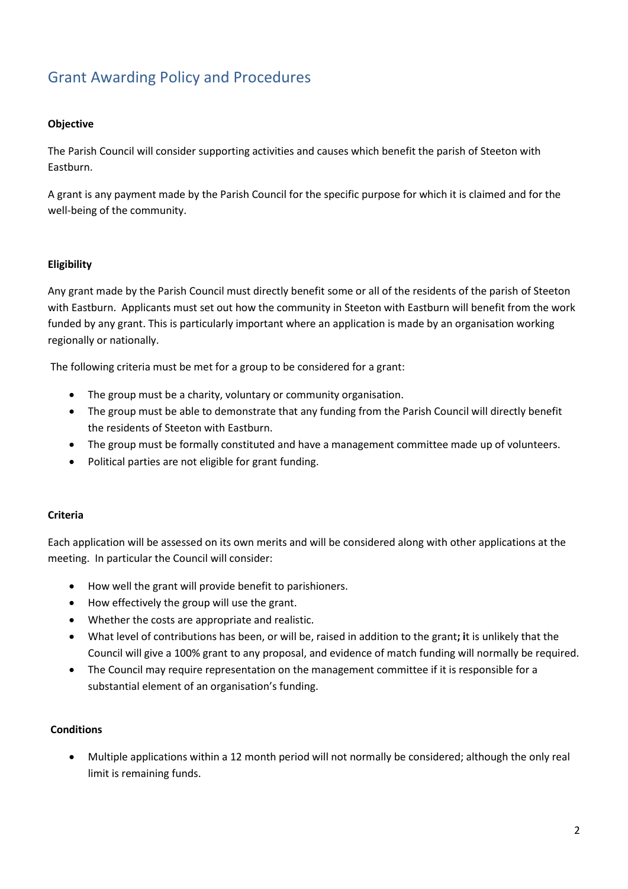### Grant Awarding Policy and Procedures

#### **Objective**

The Parish Council will consider supporting activities and causes which benefit the parish of Steeton with Eastburn.

A grant is any payment made by the Parish Council for the specific purpose for which it is claimed and for the well-being of the community.

#### **Eligibility**

Any grant made by the Parish Council must directly benefit some or all of the residents of the parish of Steeton with Eastburn. Applicants must set out how the community in Steeton with Eastburn will benefit from the work funded by any grant. This is particularly important where an application is made by an organisation working regionally or nationally.

The following criteria must be met for a group to be considered for a grant:

- The group must be a charity, voluntary or community organisation.
- The group must be able to demonstrate that any funding from the Parish Council will directly benefit the residents of Steeton with Eastburn.
- The group must be formally constituted and have a management committee made up of volunteers.
- Political parties are not eligible for grant funding.

#### **Criteria**

Each application will be assessed on its own merits and will be considered along with other applications at the meeting. In particular the Council will consider:

- How well the grant will provide benefit to parishioners.
- How effectively the group will use the grant.
- Whether the costs are appropriate and realistic.
- What level of contributions has been, or will be, raised in addition to the grant**; i**t is unlikely that the Council will give a 100% grant to any proposal, and evidence of match funding will normally be required.
- The Council may require representation on the management committee if it is responsible for a substantial element of an organisation's funding.

#### **Conditions**

• Multiple applications within a 12 month period will not normally be considered; although the only real limit is remaining funds.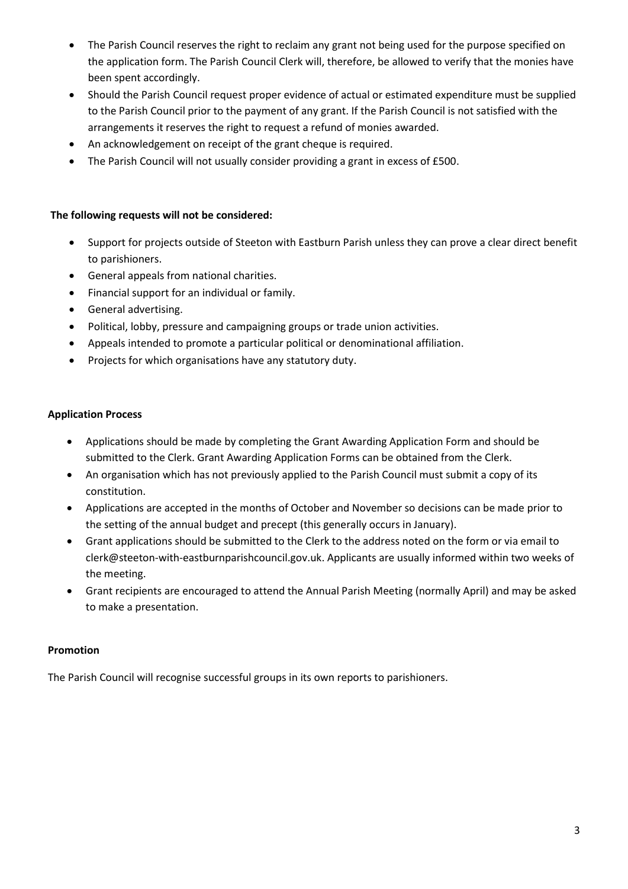- The Parish Council reserves the right to reclaim any grant not being used for the purpose specified on the application form. The Parish Council Clerk will, therefore, be allowed to verify that the monies have been spent accordingly.
- Should the Parish Council request proper evidence of actual or estimated expenditure must be supplied to the Parish Council prior to the payment of any grant. If the Parish Council is not satisfied with the arrangements it reserves the right to request a refund of monies awarded.
- An acknowledgement on receipt of the grant cheque is required.
- The Parish Council will not usually consider providing a grant in excess of £500.

#### **The following requests will not be considered:**

- Support for projects outside of Steeton with Eastburn Parish unless they can prove a clear direct benefit to parishioners.
- General appeals from national charities.
- Financial support for an individual or family.
- General advertising.
- Political, lobby, pressure and campaigning groups or trade union activities.
- Appeals intended to promote a particular political or denominational affiliation.
- Projects for which organisations have any statutory duty.

#### **Application Process**

- Applications should be made by completing the Grant Awarding Application Form and should be submitted to the Clerk. Grant Awarding Application Forms can be obtained from the Clerk.
- An organisation which has not previously applied to the Parish Council must submit a copy of its constitution.
- Applications are accepted in the months of October and November so decisions can be made prior to the setting of the annual budget and precept (this generally occurs in January).
- Grant applications should be submitted to the Clerk to the address noted on the form or via email to clerk@steeton-with-eastburnparishcouncil.gov.uk. Applicants are usually informed within two weeks of the meeting.
- Grant recipients are encouraged to attend the Annual Parish Meeting (normally April) and may be asked to make a presentation.

#### **Promotion**

The Parish Council will recognise successful groups in its own reports to parishioners.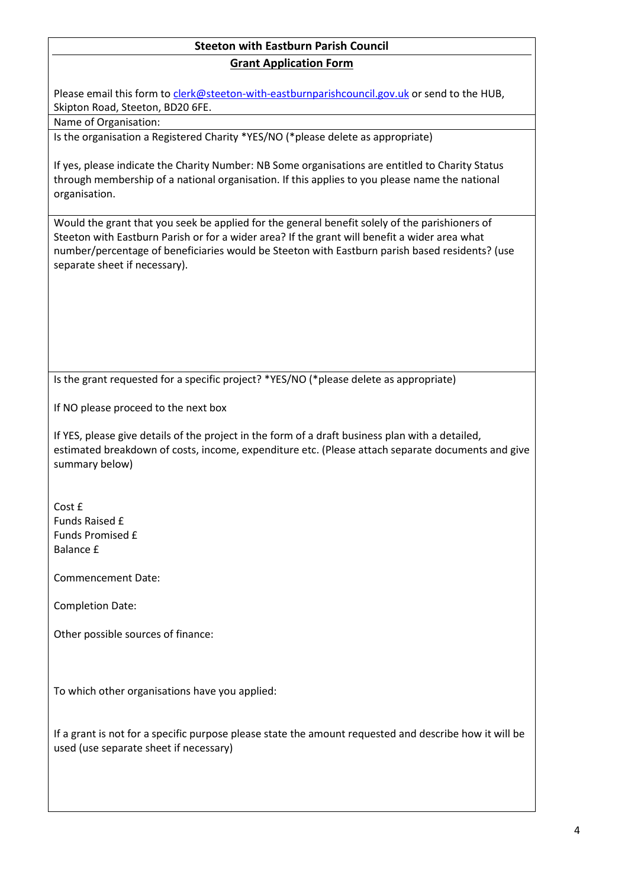#### **Steeton with Eastburn Parish Council Grant Application Form**

Please email this form to [clerk@steeton-with-eastburnparishcouncil.gov.uk](mailto:clerk@steeton-with-eastburnparishcouncil.gov.uk) or send to the HUB, Skipton Road, Steeton, BD20 6FE.

#### Name of Organisation:

Is the organisation a Registered Charity \*YES/NO (\*please delete as appropriate)

If yes, please indicate the Charity Number: NB Some organisations are entitled to Charity Status through membership of a national organisation. If this applies to you please name the national organisation.

Would the grant that you seek be applied for the general benefit solely of the parishioners of Steeton with Eastburn Parish or for a wider area? If the grant will benefit a wider area what number/percentage of beneficiaries would be Steeton with Eastburn parish based residents? (use separate sheet if necessary).

Is the grant requested for a specific project? \*YES/NO (\*please delete as appropriate)

If NO please proceed to the next box

If YES, please give details of the project in the form of a draft business plan with a detailed, estimated breakdown of costs, income, expenditure etc. (Please attach separate documents and give summary below)

Cost f Funds Raised £ Funds Promised £ Balance £

Commencement Date:

Completion Date:

Other possible sources of finance:

To which other organisations have you applied:

If a grant is not for a specific purpose please state the amount requested and describe how it will be used (use separate sheet if necessary)